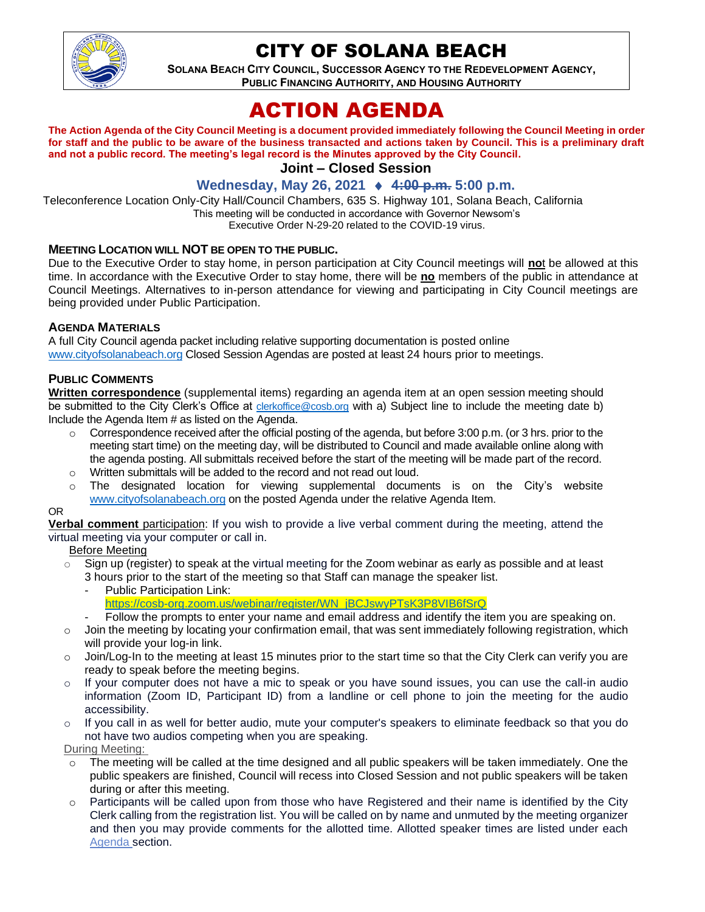

## CITY OF SOLANA BEACH

**SOLANA BEACH CITY COUNCIL, SUCCESSOR AGENCY TO THE REDEVELOPMENT AGENCY, PUBLIC FINANCING AUTHORITY, AND HOUSING AUTHORITY** 

# ACTION AGENDA

**The Action Agenda of the City Council Meeting is a document provided immediately following the Council Meeting in order for staff and the public to be aware of the business transacted and actions taken by Council. This is a preliminary draft and not a public record. The meeting's legal record is the Minutes approved by the City Council. Joint – Closed Session**

**Wednesday, May 26, 2021 4:00 p.m. 5:00 p.m.**

Teleconference Location Only-City Hall/Council Chambers, 635 S. Highway 101, Solana Beach, California This meeting will be conducted in accordance with Governor Newsom's Executive Order N-29-20 related to the COVID-19 virus.

#### **MEETING LOCATION WILL NOT BE OPEN TO THE PUBLIC.**

Due to the Executive Order to stay home, in person participation at City Council meetings will **no**t be allowed at this time. In accordance with the Executive Order to stay home, there will be **no** members of the public in attendance at Council Meetings. Alternatives to in-person attendance for viewing and participating in City Council meetings are being provided under Public Participation.

#### **AGENDA MATERIALS**

A full City Council agenda packet including relative supporting documentation is posted online [www.cityofsolanabeach.org](https://urldefense.proofpoint.com/v2/url?u=http-3A__www.cityofsolanabeach.org&d=DwQFAg&c=euGZstcaTDllvimEN8b7jXrwqOf-v5A_CdpgnVfiiMM&r=1XAsCUuqwK_tji2t0s1uIQ&m=wny2RVfZJ2tN24LkqZmkUWNpwL_peNtTZUBlTBZiMM4&s=6ATguqxJUOD7VVtloplAbyuyNaVcEh6Fl4q1iw55lCY&e=) Closed Session Agendas are posted at least 24 hours prior to meetings.

## **PUBLIC COMMENTS**

**Written correspondence** (supplemental items) regarding an agenda item at an open session meeting should be submitted to the City Clerk's Office at *[clerkoffice@cosb.org](mailto:clerkoffice@cosb.org)* with a) Subject line to include the meeting date b) Include the Agenda Item # as listed on the Agenda.

- $\circ$  Correspondence received after the official posting of the agenda, but before 3:00 p.m. (or 3 hrs. prior to the meeting start time) on the meeting day, will be distributed to Council and made available online along with the agenda posting. All submittals received before the start of the meeting will be made part of the record.
- o Written submittals will be added to the record and not read out loud.
- $\circ$  The designated location for viewing supplemental documents is on the City's website [www.cityofsolanabeach.org](http://www.cityofsolanabeach.org/) on the posted Agenda under the relative Agenda Item.

#### OR

**Verbal comment** participation: If you wish to provide a live verbal comment during the meeting, attend the virtual meeting via your computer or call in.

Before Meeting

- $\circ$  Sign up (register) to speak at the virtual meeting for the Zoom webinar as early as possible and at least 3 hours prior to the start of the meeting so that Staff can manage the speaker list.
	- Public Participation Link: [https://cosb-org.zoom.us/webinar/register/WN\\_jBCJswyPTsK3P8VIB6fSrQ](https://cosb-org.zoom.us/webinar/register/WN_jBCJswyPTsK3P8VIB6fSrQ)
	- Follow the prompts to enter your name and email address and identify the item you are speaking on.
- $\circ$  Join the meeting by locating your confirmation email, that was sent immediately following registration, which will provide your log-in link.
- $\circ$  Join/Log-In to the meeting at least 15 minutes prior to the start time so that the City Clerk can verify you are ready to speak before the meeting begins.
- $\circ$  If your computer does not have a mic to speak or you have sound issues, you can use the call-in audio information (Zoom ID, Participant ID) from a landline or cell phone to join the meeting for the audio accessibility.
- $\circ$  If you call in as well for better audio, mute your computer's speakers to eliminate feedback so that you do not have two audios competing when you are speaking.

During Meeting:

- $\circ$  The meeting will be called at the time designed and all public speakers will be taken immediately. One the public speakers are finished, Council will recess into Closed Session and not public speakers will be taken during or after this meeting.
- Participants will be called upon from those who have Registered and their name is identified by the City Clerk calling from the registration list. You will be called on by name and unmuted by the meeting organizer and then you may provide comments for the allotted time. Allotted speaker times are listed under each [Agenda s](https://urldefense.proofpoint.com/v2/url?u=https-3A__www.ci.solana-2Dbeach.ca.us_index.asp-3FSEC-3DF0F1200D-2D21C6-2D4A88-2D8AE1-2D0BC07C1A81A7-26Type-3DB-5FBASIC&d=DwMFaQ&c=euGZstcaTDllvimEN8b7jXrwqOf-v5A_CdpgnVfiiMM&r=1XAsCUuqwK_tji2t0s1uIQ&m=C7WzXfOw2_nkEFMJClT55zZsF4tmIf_7KTn0o1WpYqI&s=3DcsWExM2_nx_xpvFtXslUjphiXd0MDCCF18y_Qy5yU&e=)ection.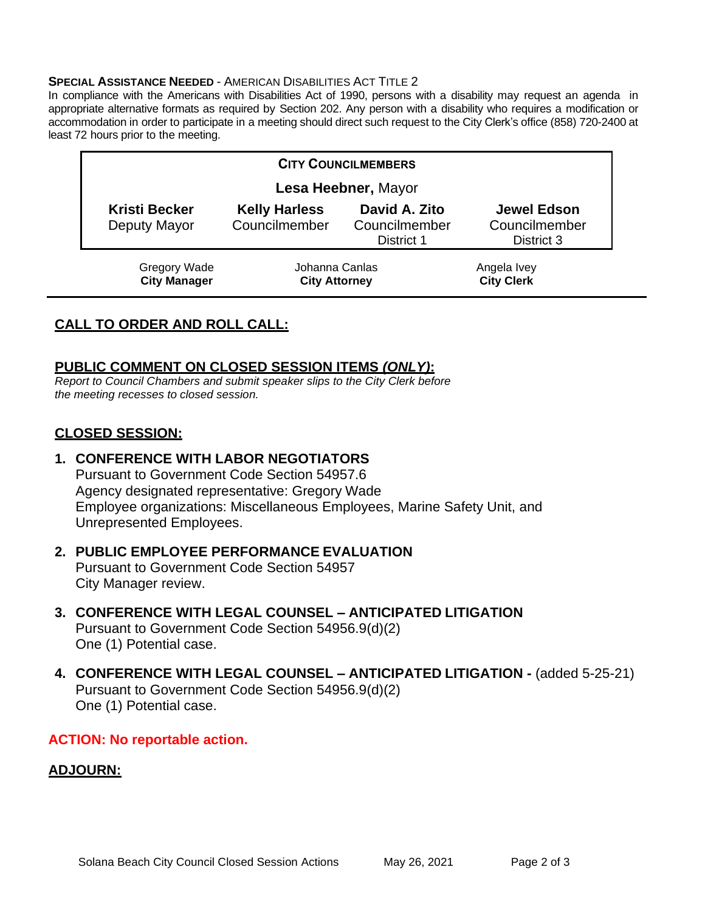#### **SPECIAL ASSISTANCE NEEDED** - AMERICAN DISABILITIES ACT TITLE 2

In compliance with the Americans with Disabilities Act of 1990, persons with a disability may request an agenda in appropriate alternative formats as required by Section 202. Any person with a disability who requires a modification or accommodation in order to participate in a meeting should direct such request to the City Clerk's office (858) 720-2400 at least 72 hours prior to the meeting.

| <b>CITY COUNCILMEMBERS</b>                 |                                        |                                              |                                            |
|--------------------------------------------|----------------------------------------|----------------------------------------------|--------------------------------------------|
| Lesa Heebner, Mayor                        |                                        |                                              |                                            |
| <b>Kristi Becker</b><br>Deputy Mayor       | <b>Kelly Harless</b><br>Councilmember  | David A. Zito<br>Councilmember<br>District 1 | Jewel Edson<br>Councilmember<br>District 3 |
| <b>Gregory Wade</b><br><b>City Manager</b> | Johanna Canlas<br><b>City Attorney</b> |                                              | Angela Ivey<br><b>City Clerk</b>           |

## **CALL TO ORDER AND ROLL CALL:**

## **PUBLIC COMMENT ON CLOSED SESSION ITEMS** *(ONLY)***:**

*Report to Council Chambers and submit speaker slips to the City Clerk before the meeting recesses to closed session.*

## **CLOSED SESSION:**

**1. CONFERENCE WITH LABOR NEGOTIATORS**  Pursuant to Government Code Section 54957.6 Agency designated representative: Gregory Wade Employee organizations: Miscellaneous Employees, Marine Safety Unit, and Unrepresented Employees.

## **2. PUBLIC EMPLOYEE PERFORMANCE EVALUATION** Pursuant to Government Code Section 54957 City Manager review.

- **3. CONFERENCE WITH LEGAL COUNSEL – ANTICIPATED LITIGATION** Pursuant to Government Code Section 54956.9(d)(2) One (1) Potential case.
- **4. CONFERENCE WITH LEGAL COUNSEL – ANTICIPATED LITIGATION -** (added 5-25-21) Pursuant to Government Code Section 54956.9(d)(2) One (1) Potential case.

## **ACTION: No reportable action.**

## **ADJOURN:**